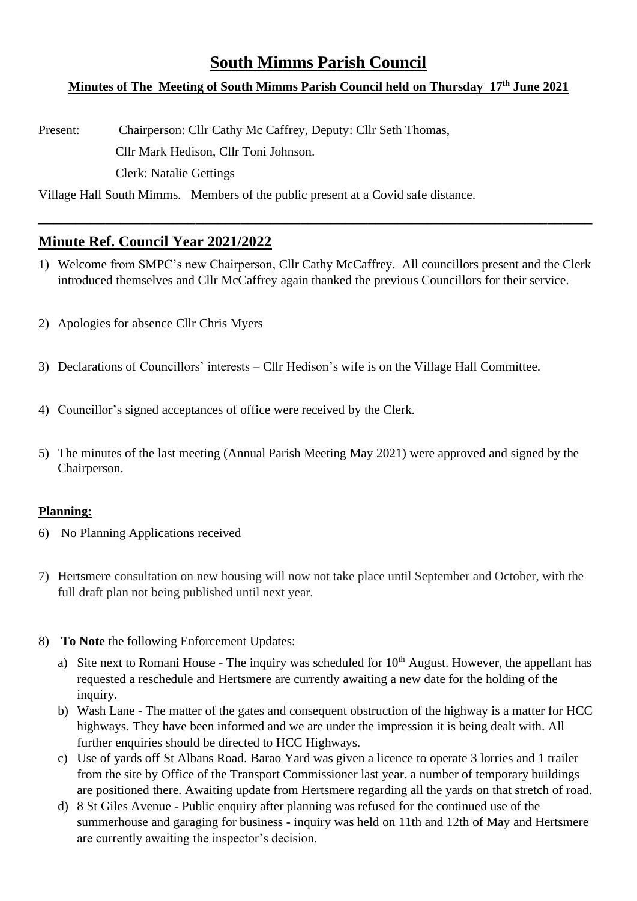## **South Mimms Parish Council**

# **Minutes of The Meeting of South Mimms Parish Council held on Thursday 17th June 2021**

Present: Chairperson: Cllr Cathy Mc Caffrey, Deputy: Cllr Seth Thomas, Cllr Mark Hedison, Cllr Toni Johnson. Clerk: Natalie Gettings

Village Hall South Mimms. Members of the public present at a Covid safe distance.

## **Minute Ref. Council Year 2021/2022**

1) Welcome from SMPC's new Chairperson, Cllr Cathy McCaffrey. All councillors present and the Clerk introduced themselves and Cllr McCaffrey again thanked the previous Councillors for their service.

**\_\_\_\_\_\_\_\_\_\_\_\_\_\_\_\_\_\_\_\_\_\_\_\_\_\_\_\_\_\_\_\_\_\_\_\_\_\_\_\_\_\_\_\_\_\_\_\_\_\_\_\_\_\_\_\_\_\_\_\_\_\_\_\_\_\_\_\_\_\_\_\_\_\_**

- 2) Apologies for absence Cllr Chris Myers
- 3) Declarations of Councillors' interests Cllr Hedison's wife is on the Village Hall Committee.
- 4) Councillor's signed acceptances of office were received by the Clerk.
- 5) The minutes of the last meeting (Annual Parish Meeting May 2021) were approved and signed by the Chairperson.

#### **Planning:**

- 6) No Planning Applications received
- 7) Hertsmere consultation on new housing will now not take place until September and October, with the full draft plan not being published until next year.
- 8) **To Note** the following Enforcement Updates:
	- a) Site next to Romani House The inquiry was scheduled for  $10<sup>th</sup>$  August. However, the appellant has requested a reschedule and Hertsmere are currently awaiting a new date for the holding of the inquiry.
	- b) Wash Lane The matter of the gates and consequent obstruction of the highway is a matter for HCC highways. They have been informed and we are under the impression it is being dealt with. All further enquiries should be directed to HCC Highways.
	- c) Use of yards off St Albans Road. Barao Yard was given a licence to operate 3 lorries and 1 trailer from the site by Office of the Transport Commissioner last year. a number of temporary buildings are positioned there. Awaiting update from Hertsmere regarding all the yards on that stretch of road.
	- d) 8 St Giles Avenue Public enquiry after planning was refused for the continued use of the summerhouse and garaging for business - inquiry was held on 11th and 12th of May and Hertsmere are currently awaiting the inspector's decision.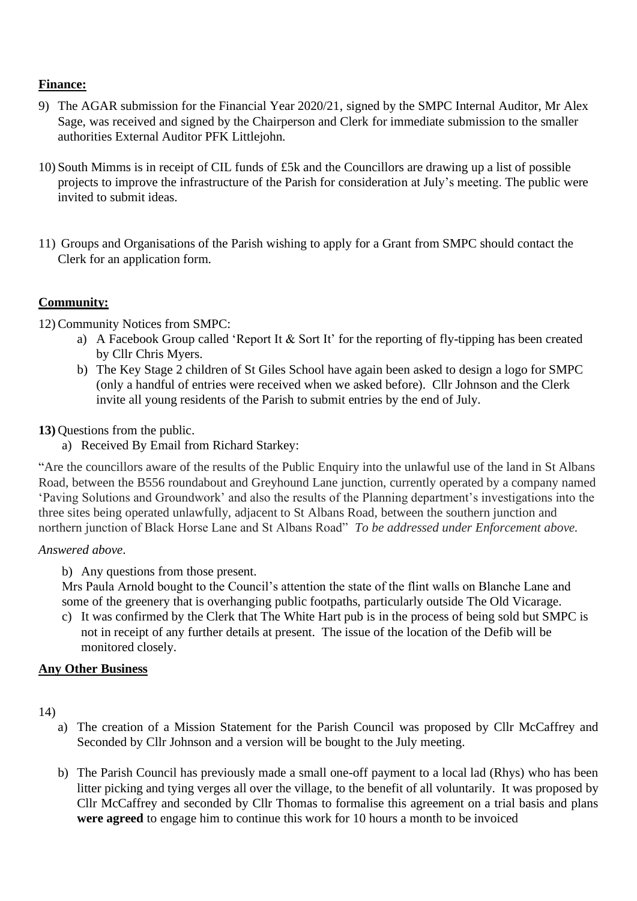#### **Finance:**

- 9) The AGAR submission for the Financial Year 2020/21, signed by the SMPC Internal Auditor, Mr Alex Sage, was received and signed by the Chairperson and Clerk for immediate submission to the smaller authorities External Auditor PFK Littlejohn.
- 10) South Mimms is in receipt of CIL funds of £5k and the Councillors are drawing up a list of possible projects to improve the infrastructure of the Parish for consideration at July's meeting. The public were invited to submit ideas.
- 11) Groups and Organisations of the Parish wishing to apply for a Grant from SMPC should contact the Clerk for an application form.

#### **Community:**

12) Community Notices from SMPC:

- a) A Facebook Group called 'Report It & Sort It' for the reporting of fly-tipping has been created by Cllr Chris Myers.
- b) The Key Stage 2 children of St Giles School have again been asked to design a logo for SMPC (only a handful of entries were received when we asked before). Cllr Johnson and the Clerk invite all young residents of the Parish to submit entries by the end of July.

#### **13)** Questions from the public.

a) Received By Email from Richard Starkey:

"Are the councillors aware of the results of the Public Enquiry into the unlawful use of the land in St Albans Road, between the B556 roundabout and Greyhound Lane junction, currently operated by a company named 'Paving Solutions and Groundwork' and also the results of the Planning department's investigations into the three sites being operated unlawfully, adjacent to St Albans Road, between the southern junction and northern junction of Black Horse Lane and St Albans Road" *To be addressed under Enforcement above.*

#### *Answered above*.

b) Any questions from those present.

Mrs Paula Arnold bought to the Council's attention the state of the flint walls on Blanche Lane and some of the greenery that is overhanging public footpaths, particularly outside The Old Vicarage.

c) It was confirmed by the Clerk that The White Hart pub is in the process of being sold but SMPC is not in receipt of any further details at present. The issue of the location of the Defib will be monitored closely.

### **Any Other Business**

14)

- a) The creation of a Mission Statement for the Parish Council was proposed by Cllr McCaffrey and Seconded by Cllr Johnson and a version will be bought to the July meeting.
- b) The Parish Council has previously made a small one-off payment to a local lad (Rhys) who has been litter picking and tying verges all over the village, to the benefit of all voluntarily. It was proposed by Cllr McCaffrey and seconded by Cllr Thomas to formalise this agreement on a trial basis and plans **were agreed** to engage him to continue this work for 10 hours a month to be invoiced